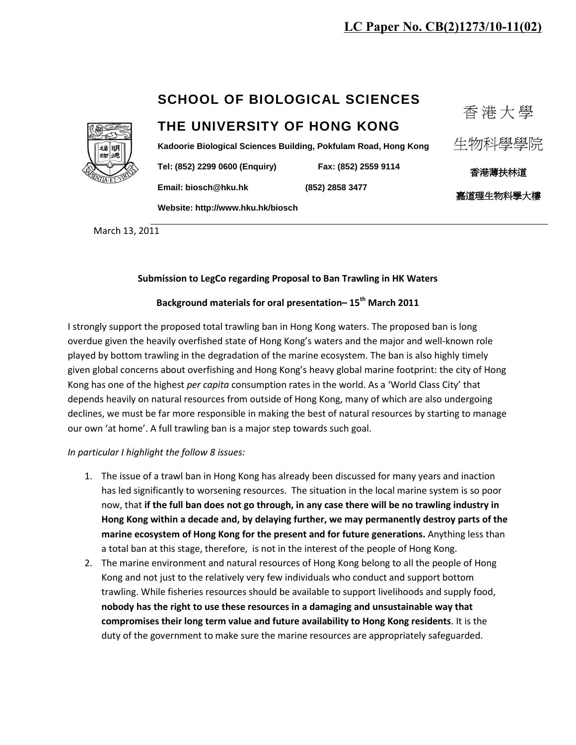## **LC Paper No. CB(2)1273/10-11(02)**

## **SCHOOL OF BIOLOGICAL SCIENCES**

# **THE UNIVERSITY OF HONG KONG**

**Kadoorie Biological Sciences Building, Pokfulam Road, Hong Kong**

**Tel: (852) 2299 0600 (Enquiry) Fax: (852) 2559 9114** 

**Email: [biosch@hku.hk](mailto:biosch@hku.hk) (852) 2858 3477**

生物科學學院

香 港 大 學

香港薄扶林道 嘉道理生物科學大樓

**Website[: http://www.hku.hk/biosch](http://www.hku.hk/biosch)**

March 13, 2011

### **Submission to LegCo regarding Proposal to Ban Trawling in HK Waters**

### **Background materials for oral presentation– 15th March 2011**

I strongly support the proposed total trawling ban in Hong Kong waters. The proposed ban is long overdue given the heavily overfished state of Hong Kong's waters and the major and well-known role played by bottom trawling in the degradation of the marine ecosystem. The ban is also highly timely given global concerns about overfishing and Hong Kong's heavy global marine footprint: the city of Hong Kong has one of the highest *per capita* consumption rates in the world. As a 'World Class City' that depends heavily on natural resources from outside of Hong Kong, many of which are also undergoing declines, we must be far more responsible in making the best of natural resources by starting to manage our own 'at home'. A full trawling ban is a major step towards such goal.

#### *In particular I highlight the follow 8 issues:*

- 1. The issue of a trawl ban in Hong Kong has already been discussed for many years and inaction has led significantly to worsening resources. The situation in the local marine system is so poor now, that **if the full ban does not go through, in any case there will be no trawling industry in Hong Kong within a decade and, by delaying further, we may permanently destroy parts of the marine ecosystem of Hong Kong for the present and for future generations.** Anything less than a total ban at this stage, therefore, is not in the interest of the people of Hong Kong.
- 2. The marine environment and natural resources of Hong Kong belong to all the people of Hong Kong and not just to the relatively very few individuals who conduct and support bottom trawling. While fisheries resources should be available to support livelihoods and supply food, **nobody has the right to use these resources in a damaging and unsustainable way that compromises their long term value and future availability to Hong Kong residents**. It is the duty of the government to make sure the marine resources are appropriately safeguarded.

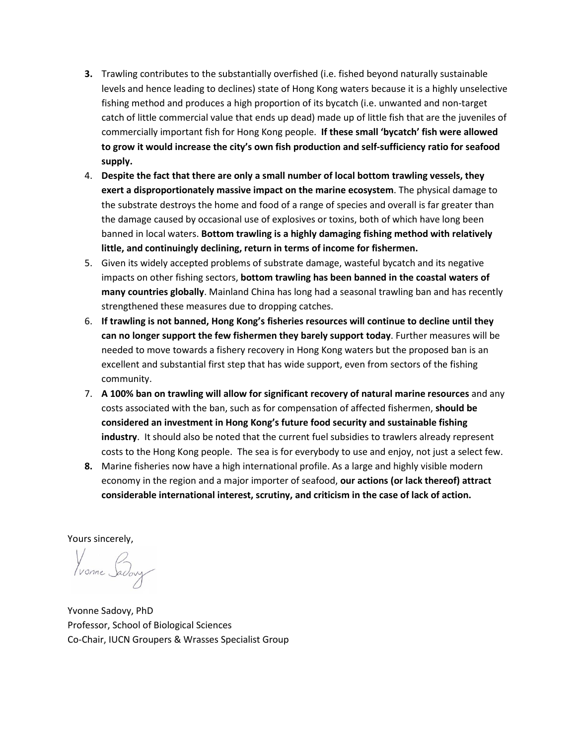- **3.** Trawling contributes to the substantially overfished (i.e. fished beyond naturally sustainable levels and hence leading to declines) state of Hong Kong waters because it is a highly unselective fishing method and produces a high proportion of its bycatch (i.e. unwanted and non-target catch of little commercial value that ends up dead) made up of little fish that are the juveniles of commercially important fish for Hong Kong people. **If these small 'bycatch' fish were allowed to grow it would increase the city's own fish production and self-sufficiency ratio for seafood supply.**
- 4. **Despite the fact that there are only a small number of local bottom trawling vessels, they exert a disproportionately massive impact on the marine ecosystem**. The physical damage to the substrate destroys the home and food of a range of species and overall is far greater than the damage caused by occasional use of explosives or toxins, both of which have long been banned in local waters. **Bottom trawling is a highly damaging fishing method with relatively little, and continuingly declining, return in terms of income for fishermen.**
- 5. Given its widely accepted problems of substrate damage, wasteful bycatch and its negative impacts on other fishing sectors, **bottom trawling has been banned in the coastal waters of many countries globally**. Mainland China has long had a seasonal trawling ban and has recently strengthened these measures due to dropping catches.
- 6. **If trawling is not banned, Hong Kong's fisheries resources will continue to decline until they can no longer support the few fishermen they barely support today**. Further measures will be needed to move towards a fishery recovery in Hong Kong waters but the proposed ban is an excellent and substantial first step that has wide support, even from sectors of the fishing community.
- 7. **A 100% ban on trawling will allow for significant recovery of natural marine resources** and any costs associated with the ban, such as for compensation of affected fishermen, **should be considered an investment in Hong Kong's future food security and sustainable fishing industry**. It should also be noted that the current fuel subsidies to trawlers already represent costs to the Hong Kong people. The sea is for everybody to use and enjoy, not just a select few.
- **8.** Marine fisheries now have a high international profile. As a large and highly visible modern economy in the region and a major importer of seafood, **our actions (or lack thereof) attract considerable international interest, scrutiny, and criticism in the case of lack of action.**

Yours sincerely,

Vonne Saday

Yvonne Sadovy, PhD Professor, School of Biological Sciences Co-Chair, IUCN Groupers & Wrasses Specialist Group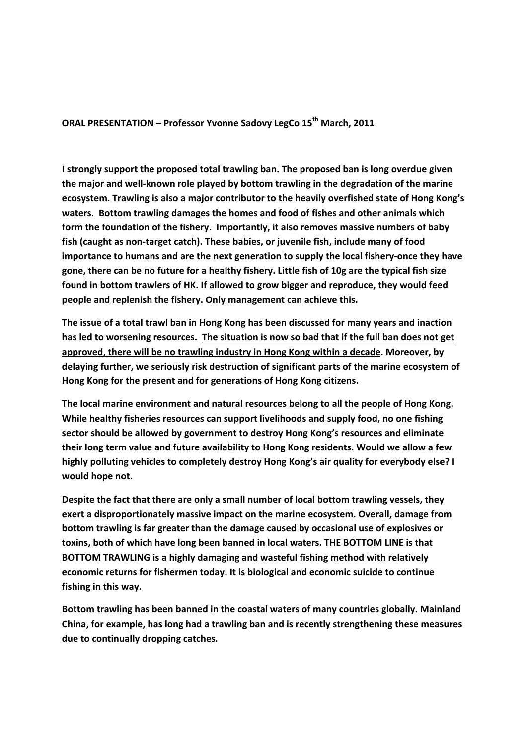**ORAL PRESENTATION – Professor Yvonne Sadovy LegCo 15th March, 2011** 

**I strongly support the proposed total trawling ban. The proposed ban is long overdue given the major and well-known role played by bottom trawling in the degradation of the marine ecosystem. Trawling is also a major contributor to the heavily overfished state of Hong Kong's waters. Bottom trawling damages the homes and food of fishes and other animals which form the foundation of the fishery. Importantly, it also removes massive numbers of baby fish (caught as non-target catch). These babies, or juvenile fish, include many of food importance to humans and are the next generation to supply the local fishery-once they have gone, there can be no future for a healthy fishery. Little fish of 10g are the typical fish size found in bottom trawlers of HK. If allowed to grow bigger and reproduce, they would feed people and replenish the fishery. Only management can achieve this.**

**The issue of a total trawl ban in Hong Kong has been discussed for many years and inaction has led to worsening resources. The situation is now so bad that if the full ban does not get approved, there will be no trawling industry in Hong Kong within a decade. Moreover, by delaying further, we seriously risk destruction of significant parts of the marine ecosystem of Hong Kong for the present and for generations of Hong Kong citizens.** 

**The local marine environment and natural resources belong to all the people of Hong Kong. While healthy fisheries resources can support livelihoods and supply food, no one fishing sector should be allowed by government to destroy Hong Kong's resources and eliminate their long term value and future availability to Hong Kong residents. Would we allow a few highly polluting vehicles to completely destroy Hong Kong's air quality for everybody else? I would hope not.** 

**Despite the fact that there are only a small number of local bottom trawling vessels, they exert a disproportionately massive impact on the marine ecosystem. Overall, damage from bottom trawling is far greater than the damage caused by occasional use of explosives or toxins, both of which have long been banned in local waters. THE BOTTOM LINE is that BOTTOM TRAWLING is a highly damaging and wasteful fishing method with relatively economic returns for fishermen today. It is biological and economic suicide to continue fishing in this way.** 

**Bottom trawling has been banned in the coastal waters of many countries globally. Mainland China, for example, has long had a trawling ban and is recently strengthening these measures due to continually dropping catches***.*